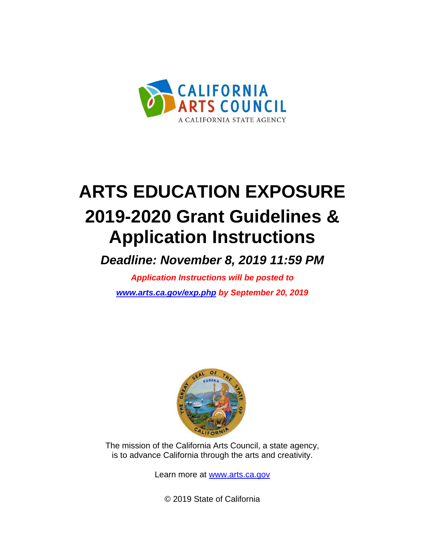

# **ARTS EDUCATION EXPOSURE 2019-2020 Grant Guidelines & Application Instructions**

*Deadline: November 8, 2019 11:59 PM*

*Application Instructions will be posted to [www.arts.ca.gov/exp.php](http://www.arts.ca.gov/exp.php) by September 20, 2019*



The mission of the California Arts Council, a state agency, is to advance California through the arts and creativity.

Learn more at [www.arts.ca.gov](http://www.arts.ca.gov/)

© 2019 State of California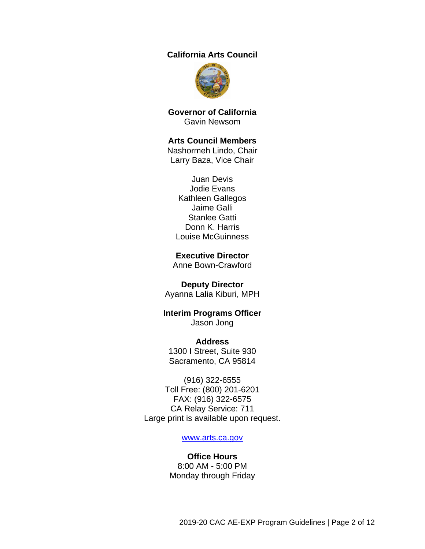#### **California Arts Council**



**Governor of California** Gavin Newsom

#### **Arts Council Members**

Nashormeh Lindo, Chair Larry Baza, Vice Chair

Juan Devis Jodie Evans Kathleen Gallegos Jaime Galli Stanlee Gatti Donn K. Harris Louise McGuinness

#### **Executive Director**

Anne Bown-Crawford

#### **Deputy Director**

Ayanna Lalia Kiburi, MPH

#### **Interim Programs Officer** Jason Jong

**Address** 1300 I Street, Suite 930 Sacramento, CA 95814

(916) 322-6555 Toll Free: (800) 201-6201 FAX: (916) 322-6575 CA Relay Service: 711 Large print is available upon request.

#### [www.arts.ca.gov](http://www.arts.ca.gov/)

#### **Office Hours** 8:00 AM - 5:00 PM Monday through Friday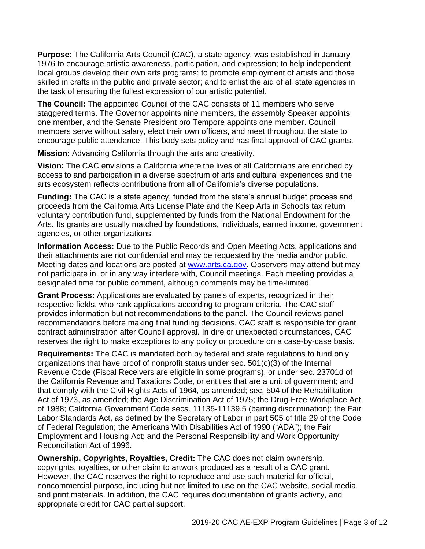**Purpose:** The California Arts Council (CAC), a state agency, was established in January 1976 to encourage artistic awareness, participation, and expression; to help independent local groups develop their own arts programs; to promote employment of artists and those skilled in crafts in the public and private sector; and to enlist the aid of all state agencies in the task of ensuring the fullest expression of our artistic potential.

**The Council:** The appointed Council of the CAC consists of 11 members who serve staggered terms. The Governor appoints nine members, the assembly Speaker appoints one member, and the Senate President pro Tempore appoints one member. Council members serve without salary, elect their own officers, and meet throughout the state to encourage public attendance. This body sets policy and has final approval of CAC grants.

**Mission:** Advancing California through the arts and creativity.

**Vision:** The CAC envisions a California where the lives of all Californians are enriched by access to and participation in a diverse spectrum of arts and cultural experiences and the arts ecosystem reflects contributions from all of California's diverse populations.

**Funding:** The CAC is a state agency, funded from the state's annual budget process and proceeds from the California Arts License Plate and the Keep Arts in Schools tax return voluntary contribution fund, supplemented by funds from the National Endowment for the Arts. Its grants are usually matched by foundations, individuals, earned income, government agencies, or other organizations.

**Information Access:** Due to the Public Records and Open Meeting Acts, applications and their attachments are not confidential and may be requested by the media and/or public. Meeting dates and locations are posted at [www.arts.ca.gov.](http://www.arts.ca.gov/) Observers may attend but may not participate in, or in any way interfere with, Council meetings. Each meeting provides a designated time for public comment, although comments may be time-limited.

**Grant Process:** Applications are evaluated by panels of experts, recognized in their respective fields, who rank applications according to program criteria. The CAC staff provides information but not recommendations to the panel. The Council reviews panel recommendations before making final funding decisions. CAC staff is responsible for grant contract administration after Council approval. In dire or unexpected circumstances, CAC reserves the right to make exceptions to any policy or procedure on a case-by-case basis.

<span id="page-2-0"></span>**Requirements:** The CAC is mandated both by federal and state regulations to fund only organizations that have proof of nonprofit status under sec. 501(c)(3) of the Internal Revenue Code (Fiscal Receivers are eligible in some programs), or under sec. 23701d of the California Revenue and Taxations Code, or entities that are a unit of government; and that comply with the Civil Rights Acts of 1964, as amended; sec. 504 of the Rehabilitation Act of 1973, as amended; the Age Discrimination Act of 1975; the Drug-Free Workplace Act of 1988; California Government Code secs. 11135-11139.5 (barring discrimination); the Fair Labor Standards Act, as defined by the Secretary of Labor in part 505 of title 29 of the Code of Federal Regulation; the Americans With Disabilities Act of 1990 ("ADA"); the Fair Employment and Housing Act; and the Personal Responsibility and Work Opportunity Reconciliation Act of 1996.

**Ownership, Copyrights, Royalties, Credit:** The CAC does not claim ownership, copyrights, royalties, or other claim to artwork produced as a result of a CAC grant. However, the CAC reserves the right to reproduce and use such material for official, noncommercial purpose, including but not limited to use on the CAC website, social media and print materials. In addition, the CAC requires documentation of grants activity, and appropriate credit for CAC partial support.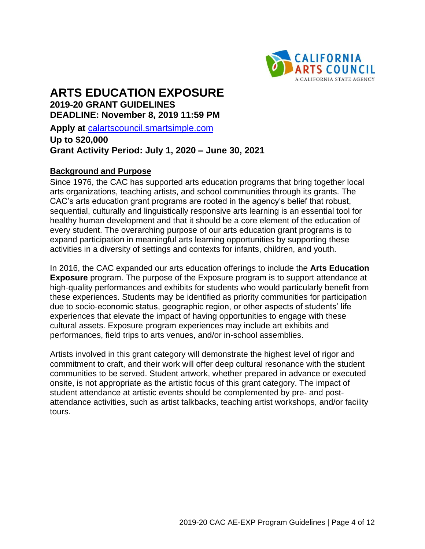

# **ARTS EDUCATION EXPOSURE 2019-20 GRANT GUIDELINES**

**DEADLINE: November 8, 2019 11:59 PM** 

**Apply at** [calartscouncil.smartsimple.com](https://calartscouncil.smartsimple.com/s_Login.jsp)

# **Up to \$20,000 Grant Activity Period: July 1, 2020 – June 30, 2021**

#### **Background and Purpose**

Since 1976, the CAC has supported arts education programs that bring together local arts organizations, teaching artists, and school communities through its grants. The CAC's arts education grant programs are rooted in the agency's belief that robust, sequential, culturally and linguistically responsive arts learning is an essential tool for healthy human development and that it should be a core element of the education of every student. The overarching purpose of our arts education grant programs is to expand participation in meaningful arts learning opportunities by supporting these activities in a diversity of settings and contexts for infants, children, and youth.

In 2016, the CAC expanded our arts education offerings to include the **Arts Education Exposure** program. The purpose of the Exposure program is to support attendance at high-quality performances and exhibits for students who would particularly benefit from these experiences. Students may be identified as priority communities for participation due to socio-economic status, geographic region, or other aspects of students' life experiences that elevate the impact of having opportunities to engage with these cultural assets. Exposure program experiences may include art exhibits and performances, field trips to arts venues, and/or in-school assemblies.

Artists involved in this grant category will demonstrate the highest level of rigor and commitment to craft, and their work will offer deep cultural resonance with the student communities to be served. Student artwork, whether prepared in advance or executed onsite, is not appropriate as the artistic focus of this grant category. The impact of student attendance at artistic events should be complemented by pre- and postattendance activities, such as artist talkbacks, teaching artist workshops, and/or facility tours.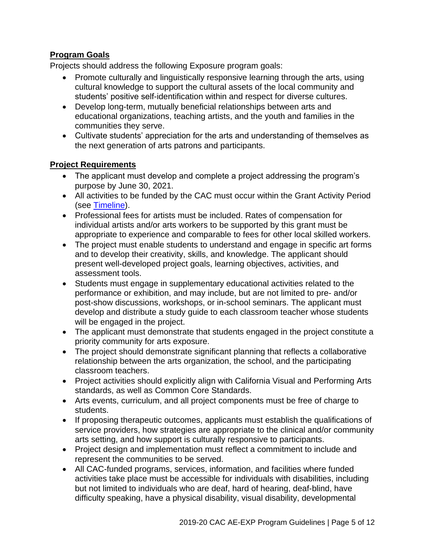# **Program Goals**

Projects should address the following Exposure program goals:

- Promote culturally and linguistically responsive learning through the arts, using cultural knowledge to support the cultural assets of the local community and students' positive self-identification within and respect for diverse cultures.
- Develop long-term, mutually beneficial relationships between arts and educational organizations, teaching artists, and the youth and families in the communities they serve.
- Cultivate students' appreciation for the arts and understanding of themselves as the next generation of arts patrons and participants.

#### **Project Requirements**

- The applicant must develop and complete a project addressing the program's purpose by June 30, 2021.
- All activities to be funded by the CAC must occur within the Grant Activity Period (see [Timeline\)](#page-10-0).
- Professional fees for artists must be included. Rates of compensation for individual artists and/or arts workers to be supported by this grant must be appropriate to experience and comparable to fees for other local skilled workers.
- The project must enable students to understand and engage in specific art forms and to develop their creativity, skills, and knowledge. The applicant should present well-developed project goals, learning objectives, activities, and assessment tools.
- Students must engage in supplementary educational activities related to the performance or exhibition, and may include, but are not limited to pre- and/or post-show discussions, workshops, or in-school seminars. The applicant must develop and distribute a study guide to each classroom teacher whose students will be engaged in the project.
- The applicant must demonstrate that students engaged in the project constitute a priority community for arts exposure.
- The project should demonstrate significant planning that reflects a collaborative relationship between the arts organization, the school, and the participating classroom teachers.
- Project activities should explicitly align with California Visual and Performing Arts standards, as well as Common Core Standards.
- Arts events, curriculum, and all project components must be free of charge to students.
- If proposing therapeutic outcomes, applicants must establish the qualifications of service providers, how strategies are appropriate to the clinical and/or community arts setting, and how support is culturally responsive to participants.
- Project design and implementation must reflect a commitment to include and represent the communities to be served.
- All CAC-funded programs, services, information, and facilities where funded activities take place must be accessible for individuals with disabilities, including but not limited to individuals who are deaf, hard of hearing, deaf-blind, have difficulty speaking, have a physical disability, visual disability, developmental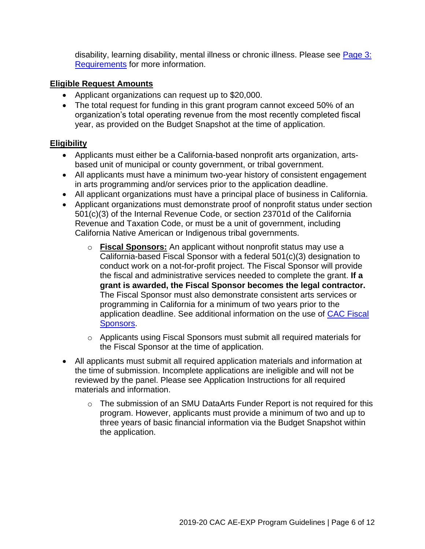disability, learning disability, mental illness or chronic illness. Please see [Page 3:](#page-2-0)  [Requirements](#page-2-0) for more information.

#### **Eligible Request Amounts**

- Applicant organizations can request up to \$20,000.
- The total request for funding in this grant program cannot exceed 50% of an organization's total operating revenue from the most recently completed fiscal year, as provided on the Budget Snapshot at the time of application.

## **Eligibility**

- Applicants must either be a California-based nonprofit arts organization, artsbased unit of municipal or county government, or tribal government.
- All applicants must have a minimum two-year history of consistent engagement in arts programming and/or services prior to the application deadline.
- All applicant organizations must have a principal place of business in California.
- Applicant organizations must demonstrate proof of nonprofit status under section 501(c)(3) of the Internal Revenue Code, or section 23701d of the California Revenue and Taxation Code, or must be a unit of government, including California Native American or Indigenous tribal governments.
	- o **Fiscal Sponsors:** An applicant without nonprofit status may use a California-based Fiscal Sponsor with a federal 501(c)(3) designation to conduct work on a not-for-profit project. The Fiscal Sponsor will provide the fiscal and administrative services needed to complete the grant. **If a grant is awarded, the Fiscal Sponsor becomes the legal contractor.** The Fiscal Sponsor must also demonstrate consistent arts services or programming in California for a minimum of two years prior to the application deadline. See additional information on the use of [CAC Fiscal](http://arts.ca.gov/programs/program_files/shared_files/CAC%20Fiscal%20Sponsor%20Information.pdf)  [Sponsors.](http://arts.ca.gov/programs/program_files/shared_files/CAC%20Fiscal%20Sponsor%20Information.pdf)
	- $\circ$  Applicants using Fiscal Sponsors must submit all required materials for the Fiscal Sponsor at the time of application.
- All applicants must submit all required application materials and information at the time of submission. Incomplete applications are ineligible and will not be reviewed by the panel. Please see Application Instructions for all required materials and information.
	- o The submission of an SMU DataArts Funder Report is not required for this program. However, applicants must provide a minimum of two and up to three years of basic financial information via the Budget Snapshot within the application.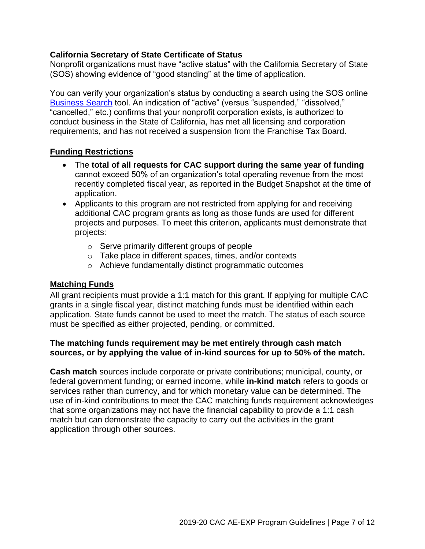#### **California Secretary of State Certificate of Status**

Nonprofit organizations must have "active status" with the California Secretary of State (SOS) showing evidence of "good standing" at the time of application.

You can verify your organization's status by conducting a search using the SOS online [Business Search](https://businesssearch.sos.ca.gov/) tool. An indication of "active" (versus "suspended," "dissolved," "cancelled," etc.) confirms that your nonprofit corporation exists, is authorized to conduct business in the State of California, has met all licensing and corporation requirements, and has not received a suspension from the Franchise Tax Board.

#### **Funding Restrictions**

- The **total of all requests for CAC support during the same year of funding** cannot exceed 50% of an organization's total operating revenue from the most recently completed fiscal year, as reported in the Budget Snapshot at the time of application.
- Applicants to this program are not restricted from applying for and receiving additional CAC program grants as long as those funds are used for different projects and purposes. To meet this criterion, applicants must demonstrate that projects:
	- o Serve primarily different groups of people
	- o Take place in different spaces, times, and/or contexts
	- o Achieve fundamentally distinct programmatic outcomes

#### **Matching Funds**

All grant recipients must provide a 1:1 match for this grant. If applying for multiple CAC grants in a single fiscal year, distinct matching funds must be identified within each application. State funds cannot be used to meet the match. The status of each source must be specified as either projected, pending, or committed.

#### **The matching funds requirement may be met entirely through cash match sources, or by applying the value of in-kind sources for up to 50% of the match.**

**Cash match** sources include corporate or private contributions; municipal, county, or federal government funding; or earned income, while **in-kind match** refers to goods or services rather than currency, and for which monetary value can be determined. The use of in-kind contributions to meet the CAC matching funds requirement acknowledges that some organizations may not have the financial capability to provide a 1:1 cash match but can demonstrate the capacity to carry out the activities in the grant application through other sources.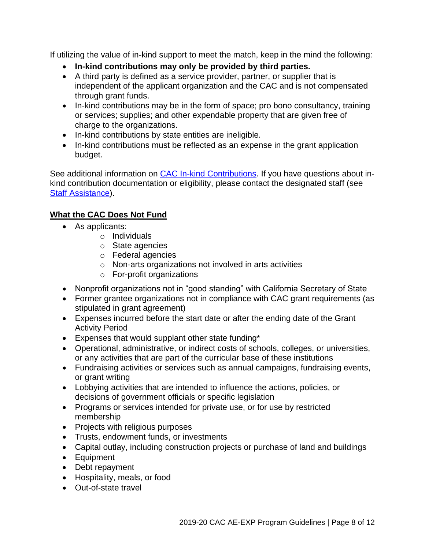If utilizing the value of in-kind support to meet the match, keep in the mind the following:

- **In-kind contributions may only be provided by third parties.**
- A third party is defined as a service provider, partner, or supplier that is independent of the applicant organization and the CAC and is not compensated through grant funds.
- In-kind contributions may be in the form of space; pro bono consultancy, training or services; supplies; and other expendable property that are given free of charge to the organizations.
- In-kind contributions by state entities are ineligible.
- In-kind contributions must be reflected as an expense in the grant application budget.

See additional information on [CAC In-kind Contributions.](http://arts.ca.gov/programs/program_files/shared_files/CAC%20In-Kind%20Contribution%20Information.pdf) If you have questions about inkind contribution documentation or eligibility, please contact the designated staff (see [Staff Assistance\)](#page-11-0).

# **What the CAC Does Not Fund**

- As applicants:
	- o Individuals
	- o State agencies
	- o Federal agencies
	- o Non-arts organizations not involved in arts activities
	- o For-profit organizations
- Nonprofit organizations not in "good standing" with California Secretary of State
- Former grantee organizations not in compliance with CAC grant requirements (as stipulated in grant agreement)
- Expenses incurred before the start date or after the ending date of the Grant Activity Period
- Expenses that would supplant other state funding\*
- Operational, administrative, or indirect costs of schools, colleges, or universities, or any activities that are part of the curricular base of these institutions
- Fundraising activities or services such as annual campaigns, fundraising events, or grant writing
- Lobbying activities that are intended to influence the actions, policies, or decisions of government officials or specific legislation
- Programs or services intended for private use, or for use by restricted membership
- Projects with religious purposes
- Trusts, endowment funds, or investments
- Capital outlay, including construction projects or purchase of land and buildings
- Equipment
- Debt repayment
- Hospitality, meals, or food
- Out-of-state travel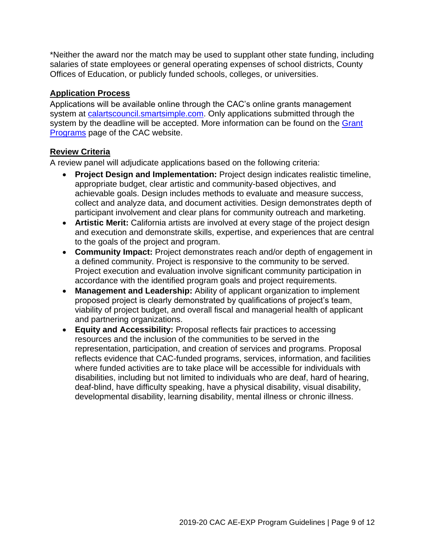\*Neither the award nor the match may be used to supplant other state funding, including salaries of state employees or general operating expenses of school districts, County Offices of Education, or publicly funded schools, colleges, or universities.

#### **Application Process**

Applications will be available online through the CAC's online grants management system at [calartscouncil.smartsimple.com.](https://calartscouncil.smartsimple.com/s_Login.jsp) Only applications submitted through the system by the deadline will be accepted. More information can be found on the Grant [Programs](http://arts.ca.gov/programs/app.php) page of the CAC website.

#### **Review Criteria**

A review panel will adjudicate applications based on the following criteria:

- **Project Design and Implementation:** Project design indicates realistic timeline, appropriate budget, clear artistic and community-based objectives, and achievable goals. Design includes methods to evaluate and measure success, collect and analyze data, and document activities. Design demonstrates depth of participant involvement and clear plans for community outreach and marketing.
- **Artistic Merit:** California artists are involved at every stage of the project design and execution and demonstrate skills, expertise, and experiences that are central to the goals of the project and program.
- **Community Impact:** Project demonstrates reach and/or depth of engagement in a defined community. Project is responsive to the community to be served. Project execution and evaluation involve significant community participation in accordance with the identified program goals and project requirements.
- **Management and Leadership:** Ability of applicant organization to implement proposed project is clearly demonstrated by qualifications of project's team, viability of project budget, and overall fiscal and managerial health of applicant and partnering organizations.
- **Equity and Accessibility:** Proposal reflects fair practices to accessing resources and the inclusion of the communities to be served in the representation, participation, and creation of services and programs. Proposal reflects evidence that CAC-funded programs, services, information, and facilities where funded activities are to take place will be accessible for individuals with disabilities, including but not limited to individuals who are deaf, hard of hearing, deaf-blind, have difficulty speaking, have a physical disability, visual disability, developmental disability, learning disability, mental illness or chronic illness.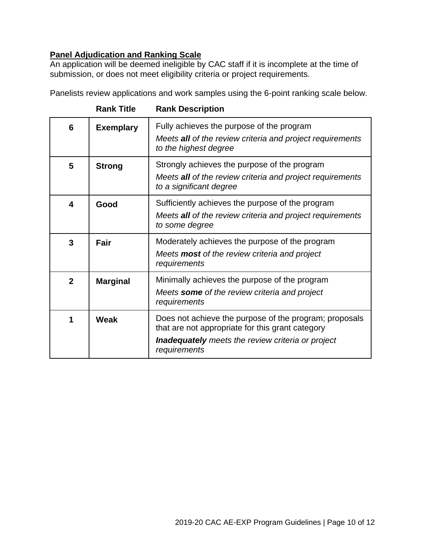## **Panel Adjudication and Ranking Scale**

An application will be deemed ineligible by CAC staff if it is incomplete at the time of submission, or does not meet eligibility criteria or project requirements.

Panelists review applications and work samples using the 6-point ranking scale below.

|                |                  | ו ושווא דעסטער הוויושה                                                                                                                                                                 |
|----------------|------------------|----------------------------------------------------------------------------------------------------------------------------------------------------------------------------------------|
| 6              | <b>Exemplary</b> | Fully achieves the purpose of the program<br>Meets all of the review criteria and project requirements<br>to the highest degree                                                        |
| 5              | <b>Strong</b>    | Strongly achieves the purpose of the program<br>Meets all of the review criteria and project requirements<br>to a significant degree                                                   |
| 4              | Good             | Sufficiently achieves the purpose of the program<br>Meets all of the review criteria and project requirements<br>to some degree                                                        |
| 3              | Fair             | Moderately achieves the purpose of the program<br>Meets <b>most</b> of the review criteria and project<br>requirements                                                                 |
| $\overline{2}$ | <b>Marginal</b>  | Minimally achieves the purpose of the program<br>Meets some of the review criteria and project<br>requirements                                                                         |
| 1              | Weak             | Does not achieve the purpose of the program; proposals<br>that are not appropriate for this grant category<br><b>Inadequately</b> meets the review criteria or project<br>requirements |

**Rank Title Rank Description**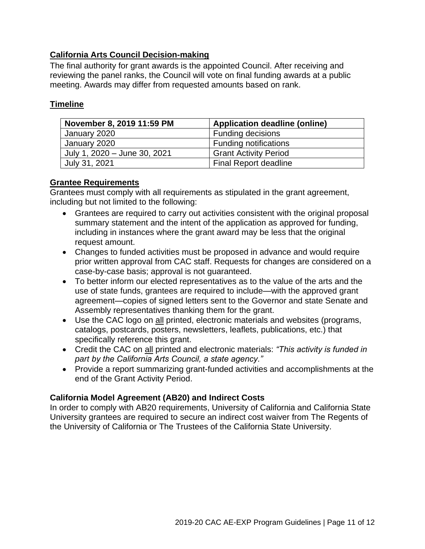## **California Arts Council Decision-making**

The final authority for grant awards is the appointed Council. After receiving and reviewing the panel ranks, the Council will vote on final funding awards at a public meeting. Awards may differ from requested amounts based on rank.

#### <span id="page-10-0"></span>**Timeline**

| November 8, 2019 11:59 PM    | <b>Application deadline (online)</b> |
|------------------------------|--------------------------------------|
| January 2020                 | <b>Funding decisions</b>             |
| January 2020                 | <b>Funding notifications</b>         |
| July 1, 2020 - June 30, 2021 | <b>Grant Activity Period</b>         |
| July 31, 2021                | <b>Final Report deadline</b>         |

#### **Grantee Requirements**

Grantees must comply with all requirements as stipulated in the grant agreement, including but not limited to the following:

- Grantees are required to carry out activities consistent with the original proposal summary statement and the intent of the application as approved for funding, including in instances where the grant award may be less that the original request amount.
- Changes to funded activities must be proposed in advance and would require prior written approval from CAC staff. Requests for changes are considered on a case-by-case basis; approval is not guaranteed.
- To better inform our elected representatives as to the value of the arts and the use of state funds, grantees are required to include—with the approved grant agreement—copies of signed letters sent to the Governor and state Senate and Assembly representatives thanking them for the grant.
- Use the CAC logo on all printed, electronic materials and websites (programs, catalogs, postcards, posters, newsletters, leaflets, publications, etc.) that specifically reference this grant.
- Credit the CAC on all printed and electronic materials: *"This activity is funded in part by the California Arts Council, a state agency."*
- Provide a report summarizing grant-funded activities and accomplishments at the end of the Grant Activity Period.

#### **California Model Agreement (AB20) and Indirect Costs**

In order to comply with AB20 requirements, University of California and California State University grantees are required to secure an indirect cost waiver from The Regents of the University of California or The Trustees of the California State University.